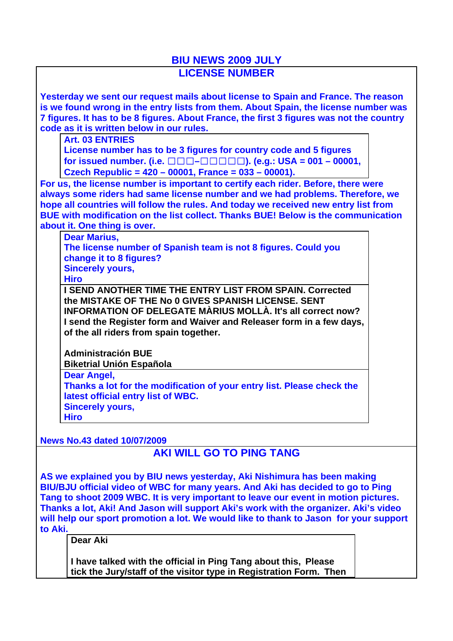## **BIU NEWS 2009 JULY LICENSE NUMBER**

**Yesterday we sent our request mails about license to Spain and France. The reason is we found wrong in the entry lists from them. About Spain, the license number was 7 figures. It has to be 8 figures. About France, the first 3 figures was not the country code as it is written below in our rules.**

**Art. 03 ENTRIES**

**License number has to be 3 figures for country code and 5 figures for issued number. (i.e.** ☐☐☐**–**☐☐☐☐☐**). (e.g.: USA = 001 – 00001, Czech Republic = 420 – 00001, France = 033 – 00001).**

**For us, the license number is important to certify each rider. Before, there were always some riders had same license number and we had problems. Therefore, we hope all countries will follow the rules. And today we received new entry list from BUE with modification on the list collect. Thanks BUE! Below is the communication about it. One thing is over.**

**Dear Marius,**

**The license number of Spanish team is not 8 figures. Could you change it to 8 figures? Sincerely yours,**

**Hiro**

**I SEND ANOTHER TIME THE ENTRY LIST FROM SPAIN. Corrected the MISTAKE OF THE No 0 GIVES SPANISH LICENSE. SENT INFORMATION OF DELEGATE MÀRIUS MOLLÀ. It's all correct now? I send the Register form and Waiver and Releaser form in a few days, of the all riders from spain together.**

**Administración BUE Biketrial Unión Española**

**Dear Angel, Thanks a lot for the modification of your entry list. Please check the latest official entry list of WBC. Sincerely yours, Hiro**

**News No.43 dated 10/07/2009**

## **AKI WILL GO TO PING TANG**

**AS we explained you by BIU news yesterday, Aki Nishimura has been making BIU/BJU official video of WBC for many years. And Aki has decided to go to Ping Tang to shoot 2009 WBC. It is very important to leave our event in motion pictures. Thanks a lot, Aki! And Jason will support Aki's work with the organizer. Aki's video will help our sport promotion a lot. We would like to thank to Jason for your support to Aki.** 

**Dear Aki**

**I have talked with the official in Ping Tang about this, Please tick the Jury/staff of the visitor type in Registration Form. Then**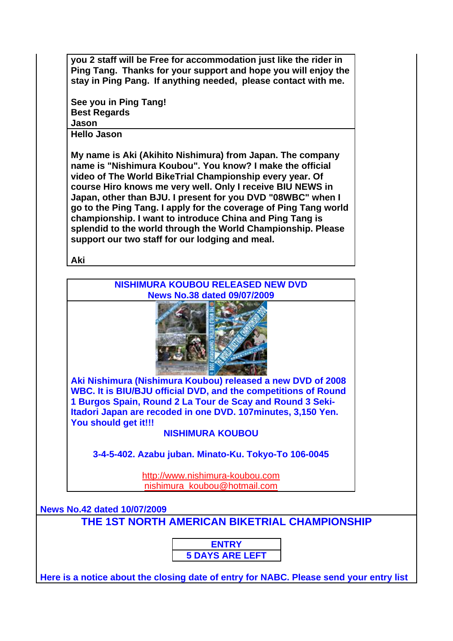**you 2 staff will be Free for accommodation just like the rider in Ping Tang. Thanks for your support and hope you will enjoy the stay in Ping Pang. If anything needed, please contact with me.**

**See you in Ping Tang! Best Regards Jason**

**Hello Jason** 

**My name is Aki (Akihito Nishimura) from Japan. The company name is "Nishimura Koubou". You know? I make the official video of The World BikeTrial Championship every year. Of course Hiro knows me very well. Only I receive BIU NEWS in Japan, other than BJU. I present for you DVD "08WBC" when I go to the Ping Tang. I apply for the coverage of Ping Tang world championship. I want to introduce China and Ping Tang is splendid to the world through the World Championship. Please support our two staff for our lodging and meal.** 

**Aki**